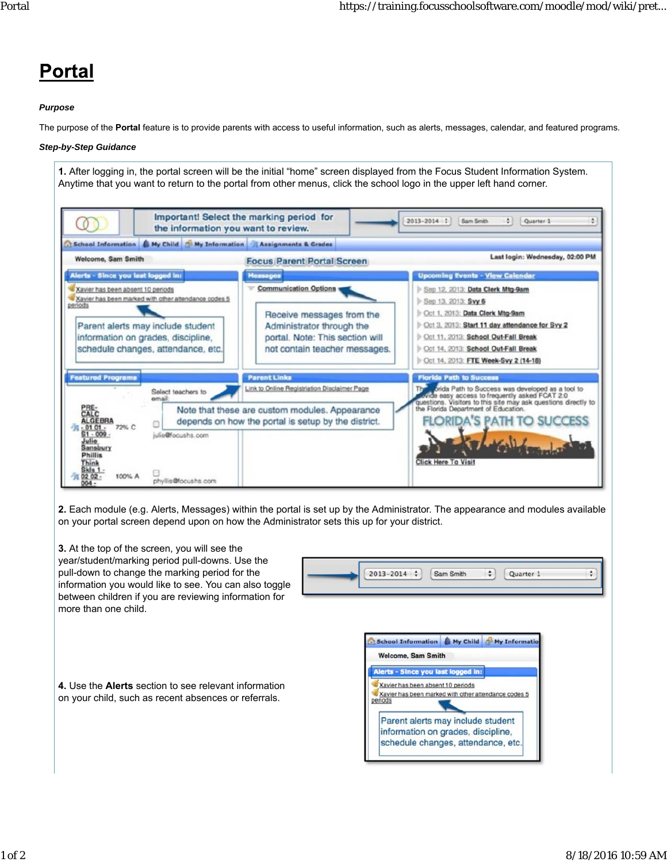## Portal

## *Purpose*

The purpose of the **Portal** feature is to provide parents with access to useful information, such as alerts, messages, calendar, and featured programs.

## *Step-by-Step Guidance*

**1.** After logging in, the portal screen will be the initial "home" screen displayed from the Focus Student Information System. Anytime that you want to return to the portal from other menus, click the school logo in the upper left hand corner. Important! Select the marking period for 2013-2014 : Sam Smith  $\Box$  Quarter 1 ÷  $\Omega$ the information you want to review. School Information & My Child & My Information Assignments & Grades Last login: Wednesday, 02:00 PM Welcome, Sam Smith **Focus Parent Portal Screen** Alerts - Since you last loy  $\overline{d}$  in **Upcoming Events - View Cal Communication Options** Xavier has been absent 10 periods Sep 12, 2013: Data Clerk Mtg-9am X Xavier has been absent 10 periods<br>Xavier has been marked with other attendance codes 5<br>periods Sep 13, 2013; Svy 6 Cct 1, 2013: Data Clerk Mtg-9am Receive messages from the Parent alerts may include student Oct 3, 2013: Start 11 day attendance for Svy 2 Administrator through the information on grades, discipline, portal. Note: This section will Cet 11, 2013: School Out-Fall Break schedule changes, attendance, etc. not contain teacher messages. Cet 14, 2013: School Out-Fall Break Oct 14, 2013: FTE Week-Svy 2 (14-18) **Parent Links Solda Path to Success was developed as a tool to**<br>Vide easy access to frequently asked FCAT 2.0<br>estions. Visitors to this site may ask questions directly to<br>Florida Department of Education. Link to Online Registriation Disclaimer Page Select teachers to Note that these are custom modules. Appearance **DA'S P** depends on how the portal is setup by the district. ATH TO S A 72% C julie@focushs.com **Click Here To Visit** 100% A phyllis@focushs.com

**2.** Each module (e.g. Alerts, Messages) within the portal is set up by the Administrator. The appearance and modules available on your portal screen depend upon on how the Administrator sets this up for your district.

**3.** At the top of the screen, you will see the year/student/marking period pull-downs. Use the pull-down to change the marking period for the  $\div$  $2013 - 2014$   $\div$ Sam Smith  $\div$ Quarter 1 information you would like to see. You can also toggle between children if you are reviewing information for more than one child. School Information & My Child & My Information Welcome, Sam Smith Alerts - Since you last logged in: **4.** Use the **Alerts** section to see relevant information Xavier has been absent 10 periods Xavier has been marked with other attendance codes 5 on your child, such as recent absences or referrals. Parent alerts may include student information on grades, discipline, schedule changes, attendance, etc.